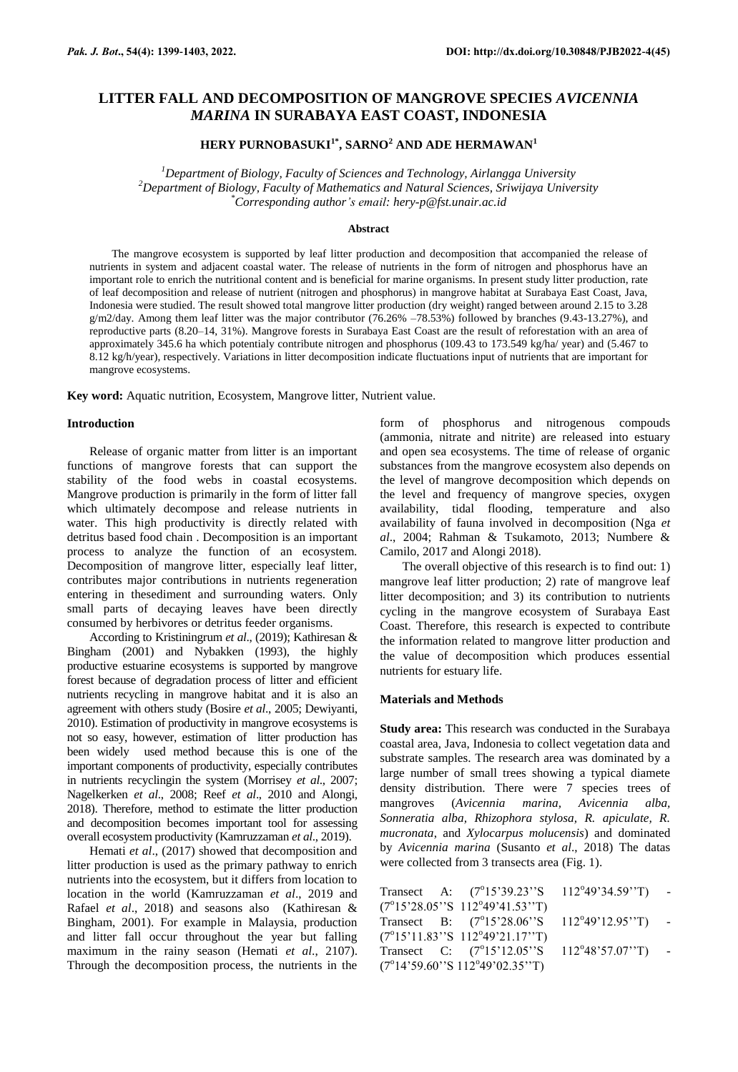## **LITTER FALL AND DECOMPOSITION OF MANGROVE SPECIES** *AVICENNIA MARINA* **IN SURABAYA EAST COAST, INDONESIA**

# **HERY PURNOBASUKI1\*, SARNO<sup>2</sup> AND ADE HERMAWAN<sup>1</sup>**

*<sup>1</sup>Department of Biology, Faculty of Sciences and Technology, Airlangga University <sup>2</sup>Department of Biology, Faculty of Mathematics and Natural Sciences, Sriwijaya University \*Corresponding author's email: hery-p@fst.unair.ac.id*

#### **Abstract**

The mangrove ecosystem is supported by leaf litter production and decomposition that accompanied the release of nutrients in system and adjacent coastal water. The release of nutrients in the form of nitrogen and phosphorus have an important role to enrich the nutritional content and is beneficial for marine organisms. In present study litter production, rate of leaf decomposition and release of nutrient (nitrogen and phosphorus) in mangrove habitat at Surabaya East Coast, Java, Indonesia were studied. The result showed total mangrove litter production (dry weight) ranged between around 2.15 to 3.28  $g/m2$ /day. Among them leaf litter was the major contributor (76.26% –78.53%) followed by branches (9.43-13.27%), and reproductive parts (8.20–14, 31%). Mangrove forests in Surabaya East Coast are the result of reforestation with an area of approximately 345.6 ha which potentialy contribute nitrogen and phosphorus (109.43 to 173.549 kg/ha/ year) and (5.467 to 8.12 kg/h/year), respectively. Variations in litter decomposition indicate fluctuations input of nutrients that are important for mangrove ecosystems.

**Key word:** Aquatic nutrition, Ecosystem, Mangrove litter, Nutrient value.

#### **Introduction**

Release of organic matter from litter is an important functions of mangrove forests that can support the stability of the food webs in coastal ecosystems. Mangrove production is primarily in the form of litter fall which ultimately decompose and release nutrients in water. This high productivity is directly related with detritus based food chain . Decomposition is an important process to analyze the function of an ecosystem. Decomposition of mangrove litter, especially leaf litter, contributes major contributions in nutrients regeneration entering in thesediment and surrounding waters. Only small parts of decaying leaves have been directly consumed by herbivores or detritus feeder organisms.

According to Kristiningrum *et al*., (2019); Kathiresan & Bingham (2001) and Nybakken (1993), the highly productive estuarine ecosystems is supported by mangrove forest because of degradation process of litter and efficient nutrients recycling in mangrove habitat and it is also an agreement with others study (Bosire *et al*., 2005; Dewiyanti, 2010). Estimation of productivity in mangrove ecosystems is not so easy, however, estimation of litter production has been widely used method because this is one of the important components of productivity, especially contributes in nutrients recyclingin the system (Morrisey *et al*., 2007; Nagelkerken *et al*., 2008; Reef *et al*., 2010 and Alongi, 2018). Therefore, method to estimate the litter production and decomposition becomes important tool for assessing overall ecosystem productivity (Kamruzzaman *et al*., 2019).

Hemati *et al*., (2017) showed that decomposition and litter production is used as the primary pathway to enrich nutrients into the ecosystem, but it differs from location to location in the world (Kamruzzaman *et al*., 2019 and Rafael *et al*., 2018) and seasons also (Kathiresan & Bingham, 2001). For example in Malaysia, production and litter fall occur throughout the year but falling maximum in the rainy season (Hemati *et al*., 2107). Through the decomposition process, the nutrients in the form of phosphorus and nitrogenous compouds (ammonia, nitrate and nitrite) are released into estuary and open sea ecosystems. The time of release of organic substances from the mangrove ecosystem also depends on the level of mangrove decomposition which depends on the level and frequency of mangrove species, oxygen availability, tidal flooding, temperature and also availability of fauna involved in decomposition (Nga *et al*., 2004; Rahman & Tsukamoto, 2013; Numbere & Camilo, 2017 and Alongi 2018).

The overall objective of this research is to find out: 1) mangrove leaf litter production; 2) rate of mangrove leaf litter decomposition; and 3) its contribution to nutrients cycling in the mangrove ecosystem of Surabaya East Coast. Therefore, this research is expected to contribute the information related to mangrove litter production and the value of decomposition which produces essential nutrients for estuary life.

#### **Materials and Methods**

**Study area:** This research was conducted in the Surabaya coastal area, Java, Indonesia to collect vegetation data and substrate samples. The research area was dominated by a large number of small trees showing a typical diamete density distribution. There were 7 species trees of mangroves (*Avicennia marina, Avicennia alba, Sonneratia alba, Rhizophora stylosa, R. apiculate, R. mucronata*, and *Xylocarpus molucensis*) and dominated by *Avicennia marina* (Susanto *et al*., 2018) The datas were collected from 3 transects area (Fig. 1).

|  |                                                   | Transect A: $(7^{\circ}15'39.23''S - 112^{\circ}49'34.59''T)$ - |  |
|--|---------------------------------------------------|-----------------------------------------------------------------|--|
|  | $(7^{\circ}15'28.05''S \ 112^{\circ}49'41.53''T)$ |                                                                 |  |
|  |                                                   | Transect B: $(7^{\circ}15'28.06''S - 112^{\circ}49'12.95''T)$ - |  |
|  | $(7^{\circ}15'11.83''S \ 112^{\circ}49'21.17''T)$ |                                                                 |  |
|  |                                                   | Transect C: $(7^{\circ}15'12.05''S - 112^{\circ}48'57.07''T)$ - |  |
|  | $(7^{\circ}14'59.60''S112^{\circ}49'02.35''T)$    |                                                                 |  |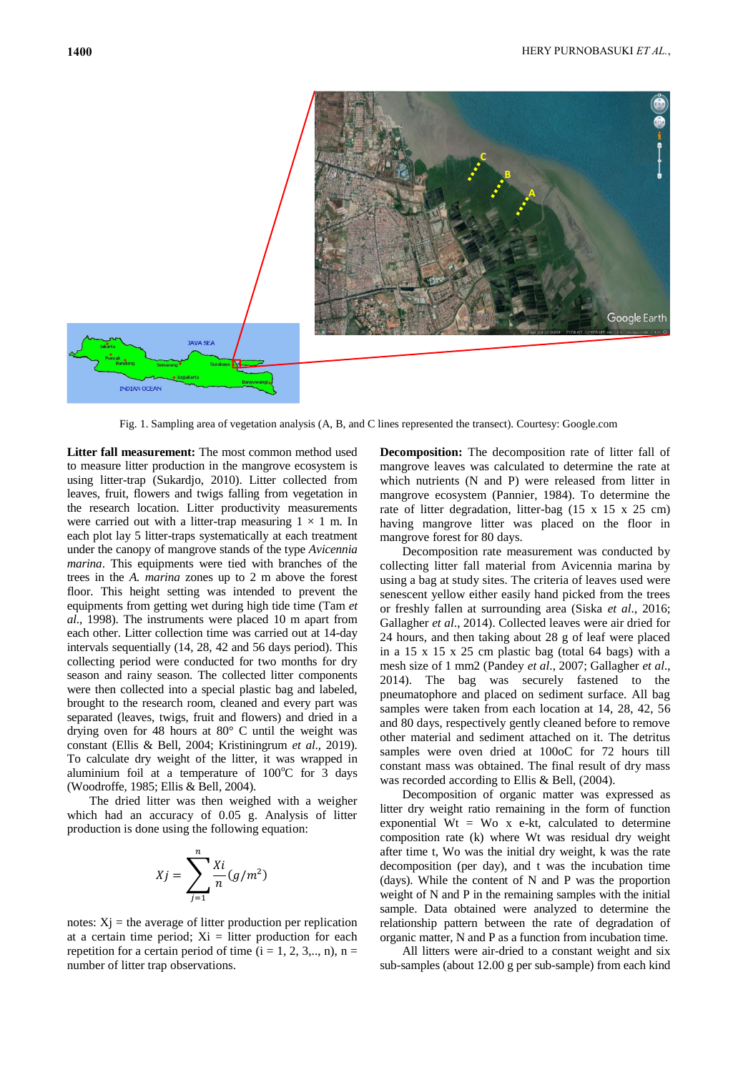

Fig. 1. Sampling area of vegetation analysis (A, B, and C lines represented the transect). Courtesy: Google.com

Litter fall measurement: The most common method used to measure litter production in the mangrove ecosystem is using litter-trap (Sukardjo, 2010). Litter collected from leaves, fruit, flowers and twigs falling from vegetation in the research location. Litter productivity measurements were carried out with a litter-trap measuring  $1 \times 1$  m. In each plot lay 5 litter-traps systematically at each treatment under the canopy of mangrove stands of the type *Avicennia marina*. This equipments were tied with branches of the trees in the *A. marina* zones up to 2 m above the forest floor. This height setting was intended to prevent the equipments from getting wet during high tide time (Tam *et al*., 1998). The instruments were placed 10 m apart from each other. Litter collection time was carried out at 14-day intervals sequentially (14, 28, 42 and 56 days period). This collecting period were conducted for two months for dry season and rainy season. The collected litter components were then collected into a special plastic bag and labeled, brought to the research room, cleaned and every part was separated (leaves, twigs, fruit and flowers) and dried in a drying oven for 48 hours at 80° C until the weight was constant (Ellis & Bell, 2004; Kristiningrum *et al*., 2019). To calculate dry weight of the litter, it was wrapped in aluminium foil at a temperature of  $100^{\circ}$ C for 3 days (Woodroffe, 1985; Ellis & Bell, 2004).

The dried litter was then weighed with a weigher which had an accuracy of 0.05 g. Analysis of litter production is done using the following equation:

$$
Xj = \sum_{j=1}^{n} \frac{Xi}{n} (g/m^2)
$$

notes:  $Xj$  = the average of litter production per replication at a certain time period;  $Xi =$  litter production for each repetition for a certain period of time  $(i = 1, 2, 3, \ldots, n)$ , n = number of litter trap observations.

**Decomposition:** The decomposition rate of litter fall of mangrove leaves was calculated to determine the rate at which nutrients (N and P) were released from litter in mangrove ecosystem (Pannier, 1984). To determine the rate of litter degradation, litter-bag (15 x 15 x 25 cm) having mangrove litter was placed on the floor in mangrove forest for 80 days.

Decomposition rate measurement was conducted by collecting litter fall material from Avicennia marina by using a bag at study sites. The criteria of leaves used were senescent yellow either easily hand picked from the trees or freshly fallen at surrounding area (Siska *et al*., 2016; Gallagher *et al*., 2014). Collected leaves were air dried for 24 hours, and then taking about 28 g of leaf were placed in a 15 x 15 x 25 cm plastic bag (total 64 bags) with a mesh size of 1 mm2 (Pandey *et al*., 2007; Gallagher *et al*., 2014). The bag was securely fastened to the pneumatophore and placed on sediment surface. All bag samples were taken from each location at 14, 28, 42, 56 and 80 days, respectively gently cleaned before to remove other material and sediment attached on it. The detritus samples were oven dried at 100oC for 72 hours till constant mass was obtained. The final result of dry mass was recorded according to Ellis & Bell, (2004).

Decomposition of organic matter was expressed as litter dry weight ratio remaining in the form of function exponential  $Wt = Wo x e-kt$ , calculated to determine composition rate (k) where Wt was residual dry weight after time t, Wo was the initial dry weight, k was the rate decomposition (per day), and t was the incubation time (days). While the content of N and P was the proportion weight of N and P in the remaining samples with the initial sample. Data obtained were analyzed to determine the relationship pattern between the rate of degradation of organic matter, N and P as a function from incubation time.

All litters were air-dried to a constant weight and six sub-samples (about 12.00 g per sub-sample) from each kind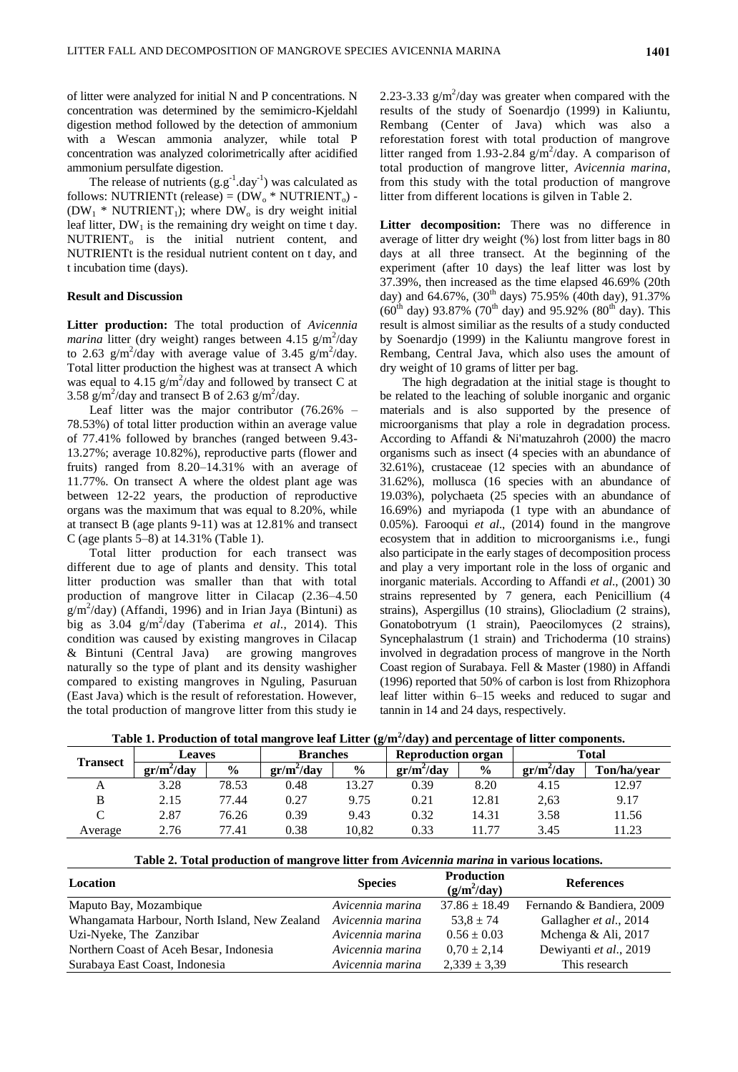of litter were analyzed for initial N and P concentrations. N concentration was determined by the semimicro-Kjeldahl digestion method followed by the detection of ammonium with a Wescan ammonia analyzer, while total P concentration was analyzed colorimetrically after acidified ammonium persulfate digestion.

The release of nutrients  $(g.g^{-1}.day^{-1})$  was calculated as follows: NUTRIENTt (release) =  $(DW_0 * NUTRIENT_0)$  - $(DW_1 * NUTRIENT_1)$ ; where  $DW_0$  is dry weight initial leaf litter,  $DW_1$  is the remaining dry weight on time t day.  $NUTRIENT<sub>o</sub>$  is the initial nutrient content, and NUTRIENTt is the residual nutrient content on t day, and t incubation time (days).

### **Result and Discussion**

**Litter production:** The total production of *Avicennia*   $\frac{m \pi}{m}$  litter (dry weight) ranges between 4.15 g/m<sup>2</sup>/day to 2.63  $g/m^2$ /day with average value of 3.45  $g/m^2$ /day. Total litter production the highest was at transect A which was equal to 4.15  $g/m^2$ /day and followed by transect C at 3.58  $g/m^2$ /day and transect B of 2.63  $g/m^2$ /day.

Leaf litter was the major contributor (76.26% – 78.53%) of total litter production within an average value of 77.41% followed by branches (ranged between 9.43- 13.27%; average 10.82%), reproductive parts (flower and fruits) ranged from 8.20–14.31% with an average of 11.77%. On transect A where the oldest plant age was between 12-22 years, the production of reproductive organs was the maximum that was equal to 8.20%, while at transect B (age plants 9-11) was at 12.81% and transect C (age plants 5–8) at 14.31% (Table 1).

Total litter production for each transect was different due to age of plants and density. This total litter production was smaller than that with total production of mangrove litter in Cilacap (2.36–4.50  $g/m^2$ /day) (Affandi, 1996) and in Irian Jaya (Bintuni) as big as 3.04 g/m<sup>2</sup> /day (Taberima *et al*., 2014). This condition was caused by existing mangroves in Cilacap & Bintuni (Central Java) are growing mangroves naturally so the type of plant and its density washigher compared to existing mangroves in Nguling, Pasuruan (East Java) which is the result of reforestation. However, the total production of mangrove litter from this study ie

2.23-3.33  $g/m^2$ /day was greater when compared with the results of the study of Soenardjo (1999) in Kaliuntu, Rembang (Center of Java) which was also a reforestation forest with total production of mangrove litter ranged from 1.93-2.84  $g/m^2$ /day. A comparison of total production of mangrove litter, *Avicennia marina*, from this study with the total production of mangrove litter from different locations is gilven in Table 2.

Litter decomposition: There was no difference in average of litter dry weight (%) lost from litter bags in 80 days at all three transect. At the beginning of the experiment (after 10 days) the leaf litter was lost by 37.39%, then increased as the time elapsed 46.69% (20th day) and 64.67%,  $(30^{th}$  days) 75.95% (40th day), 91.37%  $(60^{th}$  day) 93.87% (70<sup>th</sup> day) and 95.92% (80<sup>th</sup> day). This result is almost similiar as the results of a study conducted by Soenardjo (1999) in the Kaliuntu mangrove forest in Rembang, Central Java, which also uses the amount of dry weight of 10 grams of litter per bag.

The high degradation at the initial stage is thought to be related to the leaching of soluble inorganic and organic materials and is also supported by the presence of microorganisms that play a role in degradation process. According to Affandi & Ni'matuzahroh (2000) the macro organisms such as insect (4 species with an abundance of 32.61%), crustaceae (12 species with an abundance of 31.62%), mollusca (16 species with an abundance of 19.03%), polychaeta (25 species with an abundance of 16.69%) and myriapoda (1 type with an abundance of 0.05%). Farooqui *et al*., (2014) found in the mangrove ecosystem that in addition to microorganisms i.e., fungi also participate in the early stages of decomposition process and play a very important role in the loss of organic and inorganic materials. According to Affandi *et al*., (2001) 30 strains represented by 7 genera, each Penicillium (4 strains), Aspergillus (10 strains), Gliocladium (2 strains), Gonatobotryum (1 strain), Paeocilomyces (2 strains), Syncephalastrum (1 strain) and Trichoderma (10 strains) involved in degradation process of mangrove in the North Coast region of Surabaya. Fell & Master (1980) in Affandi (1996) reported that 50% of carbon is lost from Rhizophora leaf litter within 6–15 weeks and reduced to sugar and tannin in 14 and 24 days, respectively.

| Table 1. Production of total mangrove leaf Litter $(g/m^2/day)$ and percentage of litter components. |  |  |
|------------------------------------------------------------------------------------------------------|--|--|
|                                                                                                      |  |  |

| <b>Transect</b>    | <b>Leaves</b> |       | $\overline{\phantom{a}}$<br>$\sim$<br><b>Branches</b> |               | $\overline{\phantom{a}}$<br><b>Reproduction organ</b> |               | <b>Total</b> |             |
|--------------------|---------------|-------|-------------------------------------------------------|---------------|-------------------------------------------------------|---------------|--------------|-------------|
|                    | $gr/m^2$ /dav | $\%$  | $gr/m^2$ /dav                                         | $\frac{0}{0}$ | $gr/m^2/day$                                          | $\frac{6}{9}$ | $gr/m^2/day$ | Ton/ha/year |
| А                  | 3.28          | 78.53 | 0.48                                                  | 13.27         | 0.39                                                  | 8.20          | 4.15         | 12.97       |
| B                  | 2.15          | 77.44 | 0.27                                                  | 9.75          | 0.21                                                  | 12.81         | 2,63         | 9.17        |
| $\curvearrowright$ | 2.87          | 76.26 | 0.39                                                  | 9.43          | 0.32                                                  | 14.31         | 3.58         | 11.56       |
| Average            | 2.76          | 77.41 | 0.38                                                  | 10.82         | 0.33                                                  | 1.77          | 3.45         | 11.23       |

| Table 2. Total production of mangrove litter from Avicennia marina in various locations. |  |  |  |  |
|------------------------------------------------------------------------------------------|--|--|--|--|
|                                                                                          |  |  |  |  |

| Location                                      | <b>Species</b>   | <b>Production</b><br>$(g/m^2/day)$ | <b>References</b>         |
|-----------------------------------------------|------------------|------------------------------------|---------------------------|
| Maputo Bay, Mozambique                        | Avicennia marina | $37.86 \pm 18.49$                  | Fernando & Bandiera, 2009 |
| Whangamata Harbour, North Island, New Zealand | Avicennia marina | $53.8 \pm 74$                      | Gallagher et al., 2014    |
| Uzi-Nyeke, The Zanzibar                       | Avicennia marina | $0.56 \pm 0.03$                    | Mchenga & Ali, 2017       |
| Northern Coast of Aceh Besar, Indonesia       | Avicennia marina | $0.70 \pm 2.14$                    | Dewiyanti et al., 2019    |
| Surabaya East Coast, Indonesia                | Avicennia marina | $2,339 \pm 3,39$                   | This research             |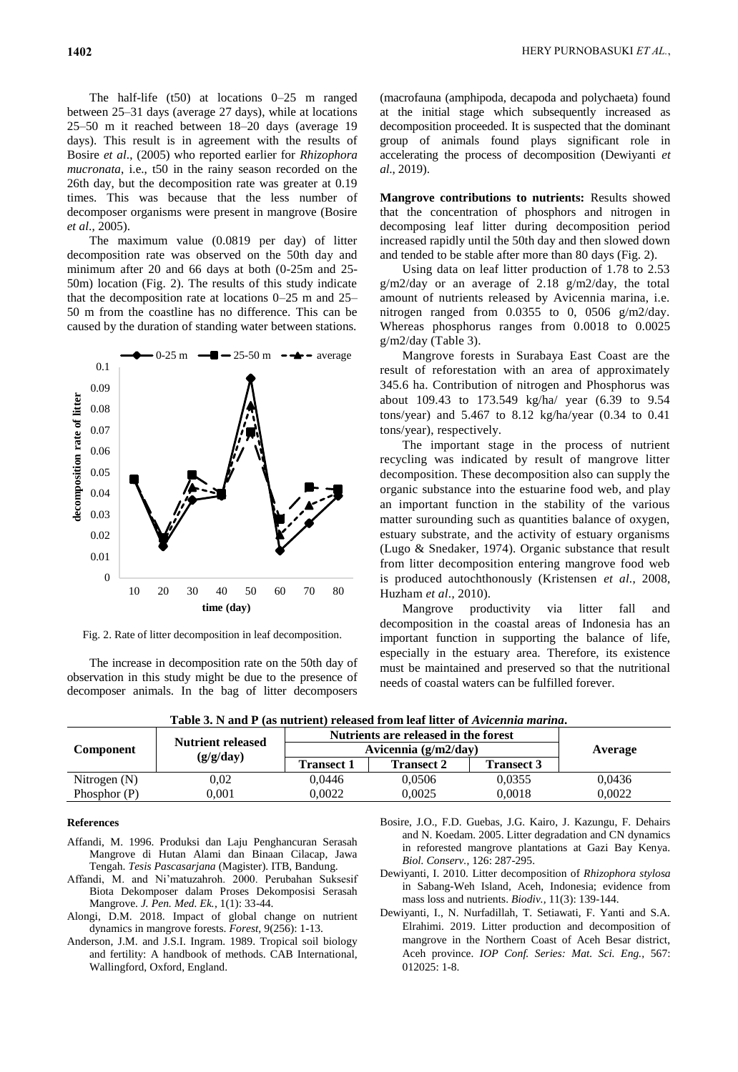The half-life (t50) at locations 0–25 m ranged between 25–31 days (average 27 days), while at locations 25–50 m it reached between 18–20 days (average 19 days). This result is in agreement with the results of Bosire *et al*., (2005) who reported earlier for *Rhizophora mucronata*, i.e., t50 in the rainy season recorded on the 26th day, but the decomposition rate was greater at 0.19 times. This was because that the less number of decomposer organisms were present in mangrove (Bosire *et al*., 2005).

The maximum value (0.0819 per day) of litter decomposition rate was observed on the 50th day and minimum after 20 and 66 days at both (0-25m and 25- 50m) location (Fig. 2). The results of this study indicate that the decomposition rate at locations 0–25 m and 25– 50 m from the coastline has no difference. This can be caused by the duration of standing water between stations.



Fig. 2. Rate of litter decomposition in leaf decomposition.

The increase in decomposition rate on the 50th day of observation in this study might be due to the presence of decomposer animals. In the bag of litter decomposers

(macrofauna (amphipoda, decapoda and polychaeta) found at the initial stage which subsequently increased as decomposition proceeded. It is suspected that the dominant group of animals found plays significant role in accelerating the process of decomposition (Dewiyanti *et al*., 2019).

**Mangrove contributions to nutrients:** Results showed that the concentration of phosphors and nitrogen in decomposing leaf litter during decomposition period increased rapidly until the 50th day and then slowed down and tended to be stable after more than 80 days (Fig. 2).

Using data on leaf litter production of 1.78 to 2.53 g/m2/day or an average of 2.18 g/m2/day, the total amount of nutrients released by Avicennia marina, i.e. nitrogen ranged from 0.0355 to 0, 0506 g/m2/day. Whereas phosphorus ranges from 0.0018 to 0.0025 g/m2/day (Table 3).

Mangrove forests in Surabaya East Coast are the result of reforestation with an area of approximately 345.6 ha. Contribution of nitrogen and Phosphorus was about 109.43 to 173.549 kg/ha/ year (6.39 to 9.54 tons/year) and 5.467 to 8.12 kg/ha/year (0.34 to 0.41 tons/year), respectively.

The important stage in the process of nutrient recycling was indicated by result of mangrove litter decomposition. These decomposition also can supply the organic substance into the estuarine food web, and play an important function in the stability of the various matter surounding such as quantities balance of oxygen, estuary substrate, and the activity of estuary organisms (Lugo & Snedaker, 1974). Organic substance that result from litter decomposition entering mangrove food web is produced autochthonously (Kristensen *et al*., 2008, Huzham *et al*., 2010).

Mangrove productivity via litter fall and decomposition in the coastal areas of Indonesia has an important function in supporting the balance of life, especially in the estuary area. Therefore, its existence must be maintained and preserved so that the nutritional needs of coastal waters can be fulfilled forever.

Table 3. N and P (as nutrient) released from leaf litter of *Avicennia marina*.

| <b>Component</b> |                          | Nutrients are released in the forest |                   |                   |        |
|------------------|--------------------------|--------------------------------------|-------------------|-------------------|--------|
|                  | <b>Nutrient released</b> | Avicennia $(g/m2/day)$               | Average           |                   |        |
|                  | (g/g/day)                | <b>Transect 1</b>                    | <b>Transect 2</b> | <b>Transect 3</b> |        |
| Nitrogen $(N)$   | 0.02                     | 0.0446                               | 0.0506            | 0,0355            | 0.0436 |
| Phosphor $(P)$   | $0.001\,$                | 0.0022                               | 0.0025            | 0.0018            | 0.0022 |

#### **References**

- Affandi, M. 1996. Produksi dan Laju Penghancuran Serasah Mangrove di Hutan Alami dan Binaan Cilacap, Jawa Tengah. *Tesis Pascasarjana* (Magister). ITB, Bandung.
- Affandi, M. and Ni'matuzahroh. 2000. Perubahan Suksesif Biota Dekomposer dalam Proses Dekomposisi Serasah Mangrove. *J. Pen. Med. Ek.*, 1(1): 33-44.
- Alongi, D.M. 2018. Impact of global change on nutrient dynamics in mangrove forests. *Forest,* 9(256): 1-13.
- Anderson, J.M. and J.S.I. Ingram. 1989. Tropical soil biology and fertility: A handbook of methods. CAB International, Wallingford, Oxford, England.
- Bosire, J.O., F.D. Guebas, J.G. Kairo, J. Kazungu, F. Dehairs and N. Koedam. 2005. Litter degradation and CN dynamics in reforested mangrove plantations at Gazi Bay Kenya. *Biol. Conserv.*, 126: 287-295.
- Dewiyanti, I. 2010. Litter decomposition of *Rhizophora stylosa*  in Sabang-Weh Island, Aceh, Indonesia; evidence from mass loss and nutrients. *Biodiv.,* 11(3): 139-144.
- Dewiyanti, I., N. Nurfadillah, T. Setiawati, F. Yanti and S.A. Elrahimi. 2019. Litter production and decomposition of mangrove in the Northern Coast of Aceh Besar district, Aceh province. *IOP Conf. Series: Mat. Sci. Eng.,* 567: 012025: 1-8.